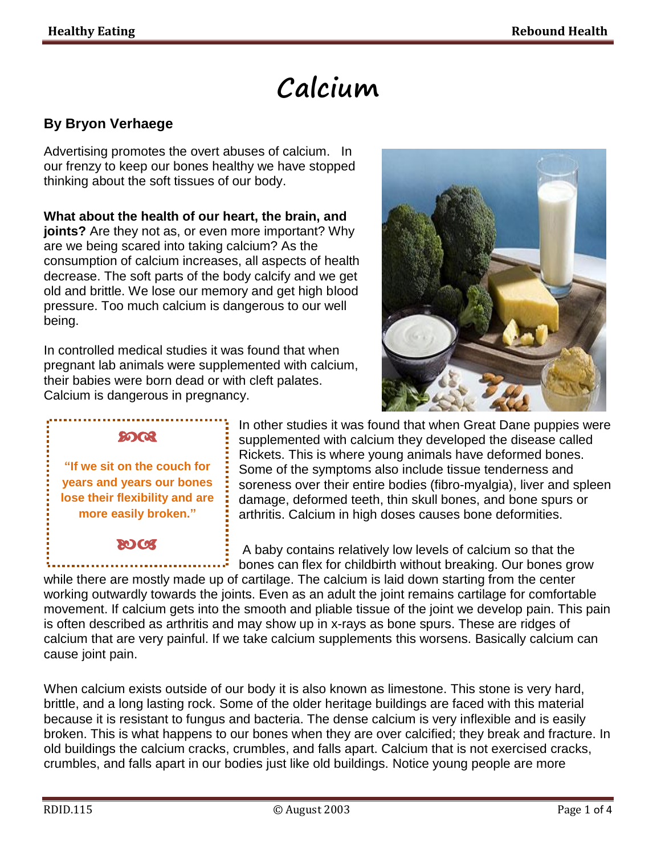# **Calcium**

# **By Bryon Verhaege**

Advertising promotes the overt abuses of calcium. In our frenzy to keep our bones healthy we have stopped thinking about the soft tissues of our body.

**What about the health of our heart, the brain, and joints?** Are they not as, or even more important? Why are we being scared into taking calcium? As the consumption of calcium increases, all aspects of health decrease. The soft parts of the body calcify and we get old and brittle. We lose our memory and get high blood pressure. Too much calcium is dangerous to our well being.

In controlled medical studies it was found that when pregnant lab animals were supplemented with calcium, their babies were born dead or with cleft palates. Calcium is dangerous in pregnancy.



# മാരു

**"If we sit on the couch for years and years our bones lose their flexibility and are more easily broken."**

# **ROCK**

In other studies it was found that when Great Dane puppies were supplemented with calcium they developed the disease called Rickets. This is where young animals have deformed bones. Some of the symptoms also include tissue tenderness and soreness over their entire bodies (fibro-myalgia), liver and spleen damage, deformed teeth, thin skull bones, and bone spurs or arthritis. Calcium in high doses causes bone deformities.

A baby contains relatively low levels of calcium so that the bones can flex for childbirth without breaking. Our bones grow

while there are mostly made up of cartilage. The calcium is laid down starting from the center working outwardly towards the joints. Even as an adult the joint remains cartilage for comfortable movement. If calcium gets into the smooth and pliable tissue of the joint we develop pain. This pain is often described as arthritis and may show up in x-rays as bone spurs. These are ridges of calcium that are very painful. If we take calcium supplements this worsens. Basically calcium can cause joint pain.

When calcium exists outside of our body it is also known as limestone. This stone is very hard, brittle, and a long lasting rock. Some of the older heritage buildings are faced with this material because it is resistant to fungus and bacteria. The dense calcium is very inflexible and is easily broken. This is what happens to our bones when they are over calcified; they break and fracture. In old buildings the calcium cracks, crumbles, and falls apart. Calcium that is not exercised cracks, crumbles, and falls apart in our bodies just like old buildings. Notice young people are more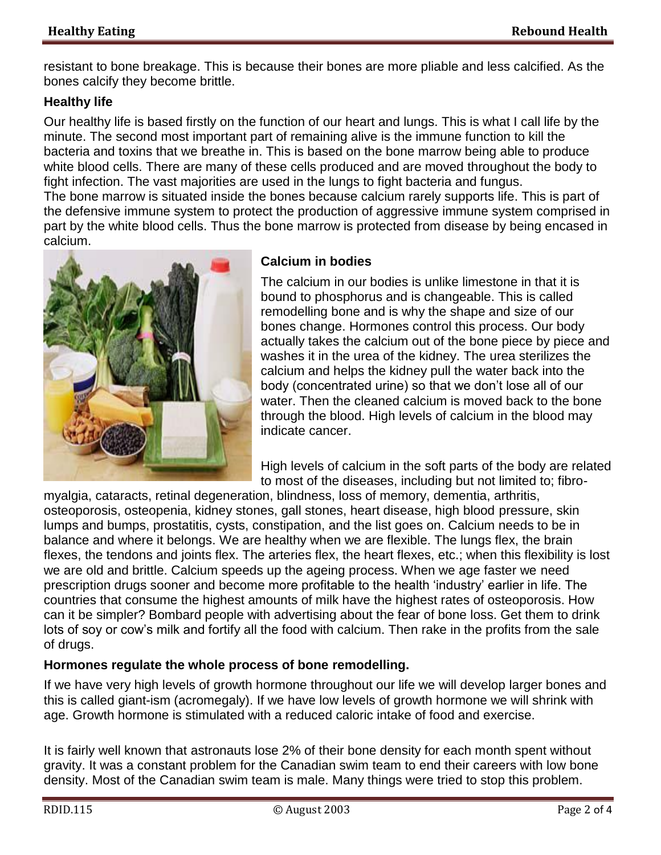resistant to bone breakage. This is because their bones are more pliable and less calcified. As the bones calcify they become brittle.

#### **Healthy life**

Our healthy life is based firstly on the function of our heart and lungs. This is what I call life by the minute. The second most important part of remaining alive is the immune function to kill the bacteria and toxins that we breathe in. This is based on the bone marrow being able to produce white blood cells. There are many of these cells produced and are moved throughout the body to fight infection. The vast majorities are used in the lungs to fight bacteria and fungus. The bone marrow is situated inside the bones because calcium rarely supports life. This is part of the defensive immune system to protect the production of aggressive immune system comprised in part by the white blood cells. Thus the bone marrow is protected from disease by being encased in calcium.



### **Calcium in bodies**

The calcium in our bodies is unlike limestone in that it is bound to phosphorus and is changeable. This is called remodelling bone and is why the shape and size of our bones change. Hormones control this process. Our body actually takes the calcium out of the bone piece by piece and washes it in the urea of the kidney. The urea sterilizes the calcium and helps the kidney pull the water back into the body (concentrated urine) so that we don't lose all of our water. Then the cleaned calcium is moved back to the bone through the blood. High levels of calcium in the blood may indicate cancer.

High levels of calcium in the soft parts of the body are related to most of the diseases, including but not limited to; fibro-

myalgia, cataracts, retinal degeneration, blindness, loss of memory, dementia, arthritis, osteoporosis, osteopenia, kidney stones, gall stones, heart disease, high blood pressure, skin lumps and bumps, prostatitis, cysts, constipation, and the list goes on. Calcium needs to be in balance and where it belongs. We are healthy when we are flexible. The lungs flex, the brain flexes, the tendons and joints flex. The arteries flex, the heart flexes, etc.; when this flexibility is lost we are old and brittle. Calcium speeds up the ageing process. When we age faster we need prescription drugs sooner and become more profitable to the health 'industry' earlier in life. The countries that consume the highest amounts of milk have the highest rates of osteoporosis. How can it be simpler? Bombard people with advertising about the fear of bone loss. Get them to drink lots of soy or cow's milk and fortify all the food with calcium. Then rake in the profits from the sale of drugs.

# **Hormones regulate the whole process of bone remodelling.**

If we have very high levels of growth hormone throughout our life we will develop larger bones and this is called giant-ism (acromegaly). If we have low levels of growth hormone we will shrink with age. Growth hormone is stimulated with a reduced caloric intake of food and exercise.

It is fairly well known that astronauts lose 2% of their bone density for each month spent without gravity. It was a constant problem for the Canadian swim team to end their careers with low bone density. Most of the Canadian swim team is male. Many things were tried to stop this problem.